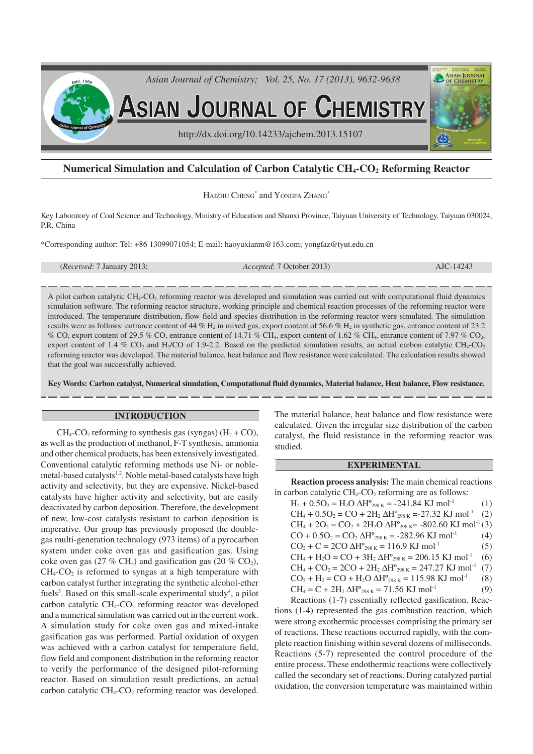

# **Numerical Simulation and Calculation of Carbon Catalytic CH4-CO2 Reforming Reactor**

HAIZHU CHENG<sup>\*</sup> and YONGFA ZHANG<sup>\*</sup>

Key Laboratory of Coal Science and Technology, Ministry of Education and Shanxi Province, Taiyuan University of Technology, Taiyuan 030024, P.R. China

\*Corresponding author: Tel: +86 13099071054; E-mail: haoyuxianm@163.com; yongfaz@tyut.edu.cn

(*Received*: 7 January 2013; *Accepted*: 7 October 2013) AJC-14243

A pilot carbon catalytic CH4-CO2 reforming reactor was developed and simulation was carried out with computational fluid dynamics simulation software. The reforming reactor structure, working principle and chemical reaction processes of the reforming reactor were introduced. The temperature distribution, flow field and species distribution in the reforming reactor were simulated. The simulation results were as follows: entrance content of 44 %  $H_2$  in mixed gas, export content of 56.6 %  $H_2$  in synthetic gas, entrance content of 23.2 % CO, export content of 29.5 % CO, entrance content of 14.71 % CH<sub>4</sub>, export content of 1.62 % CH<sub>4</sub>, entrance content of 7.97 % CO<sub>2</sub>, export content of 1.4 %  $CO_2$  and H<sub>2</sub>/CO of 1.9-2.2. Based on the predicted simulation results, an actual carbon catalytic CH<sub>4</sub>-CO<sub>2</sub> reforming reactor was developed. The material balance, heat balance and flow resistance were calculated. The calculation results showed that the goal was successfully achieved.

**Key Words: Carbon catalyst, Numerical simulation, Computational fluid dynamics, Material balance, Heat balance, Flow resistance.**

## **INTRODUCTION**

 $CH_4$ -CO<sub>2</sub> reforming to synthesis gas (syngas)  $(H_2 + CO)$ , as well as the production of methanol, F-T synthesis, ammonia and other chemical products, has been extensively investigated. Conventional catalytic reforming methods use Ni- or noblemetal-based catalysts<sup>1,2</sup>. Noble metal-based catalysts have high activity and selectivity, but they are expensive. Nickel-based catalysts have higher activity and selectivity, but are easily deactivated by carbon deposition. Therefore, the development of new, low-cost catalysts resistant to carbon deposition is imperative. Our group has previously proposed the doublegas multi-generation technology (973 items) of a pyrocarbon system under coke oven gas and gasification gas. Using coke oven gas (27 % CH<sub>4</sub>) and gasification gas (20 % CO<sub>2</sub>),  $CH_4$ - $CO_2$  is reformed to syngas at a high temperature with carbon catalyst further integrating the synthetic alcohol-ether fuels<sup>3</sup>. Based on this small-scale experimental study<sup>4</sup>, a pilot carbon catalytic  $CH_4$ - $CO_2$  reforming reactor was developed and a numerical simulation was carried out in the current work. A simulation study for coke oven gas and mixed-intake gasification gas was performed. Partial oxidation of oxygen was achieved with a carbon catalyst for temperature field, flow field and component distribution in the reforming reactor to verify the performance of the designed pilot-reforming reactor. Based on simulation result predictions, an actual carbon catalytic  $CH_4$ - $CO_2$  reforming reactor was developed.

The material balance, heat balance and flow resistance were calculated. Given the irregular size distribution of the carbon catalyst, the fluid resistance in the reforming reactor was studied.

## **EXPERIMENTAL**

**Reaction process analysis:** The main chemical reactions in carbon catalytic  $CH_4$ - $CO_2$  reforming are as follows:

 $H_2 + 0.5O_2 = H_2O \Delta H_{298 \text{ K}}^{\circ} = -241.84 \text{ KJ} \text{ mol}^{-1}$  (1)  $CH_4 + 0.5O_2 = CO + 2H_2 \Delta H_{298 K} = -27.32 \text{ KJ} \text{ mol}^{-1}$  (2)  $CH_4 + 2O_2 = CO_2 + 2H_2O \Delta H^{\circ}_{298 \text{ K}} = -802.60 \text{ KJ} \text{ mol}^{-1}(3)$  $CO + 0.5O_2 = CO_2 \Delta H_{298 \text{ K}}^{\circ} = -282.96 \text{ KJ} \text{ mol}^{-1}$  (4)  $CO<sub>2</sub> + C = 2CO \Delta H^{\circ}_{298 \text{ K}} = 116.9 \text{ KJ} \text{ mol}^{-1}$  (5)  $CH_4 + H_2O = CO + 3H_2 \Delta H_{298 \text{ K}}^{\circ} = 206.15 \text{ KJ} \text{ mol}^{-1}$  (6)  $CH_4 + CO_2 = 2CO + 2H_2 \Delta H_{298 K}^{\circ} = 247.27 \text{ KJ mol}^{-1}$  (7)  $CO_2 + H_2 = CO + H_2O \Delta H^{\circ}_{298 \text{ K}} = 115.98 \text{ KJ} \text{ mol}^{-1}$  (8)  $CH_4 = C + 2H_2 \Delta H^{\circ}_{298 \text{ K}} = 71.56 \text{ KJ} \text{ mol}^{-1}$  (9)

Reactions (1-7) essentially reflected gasification. Reactions (1-4) represented the gas combustion reaction, which were strong exothermic processes comprising the primary set of reactions. These reactions occurred rapidly, with the complete reaction finishing within several dozens of milliseconds. Reactions (5-7) represented the control procedure of the entire process. These endothermic reactions were collectively called the secondary set of reactions. During catalyzed partial oxidation, the conversion temperature was maintained within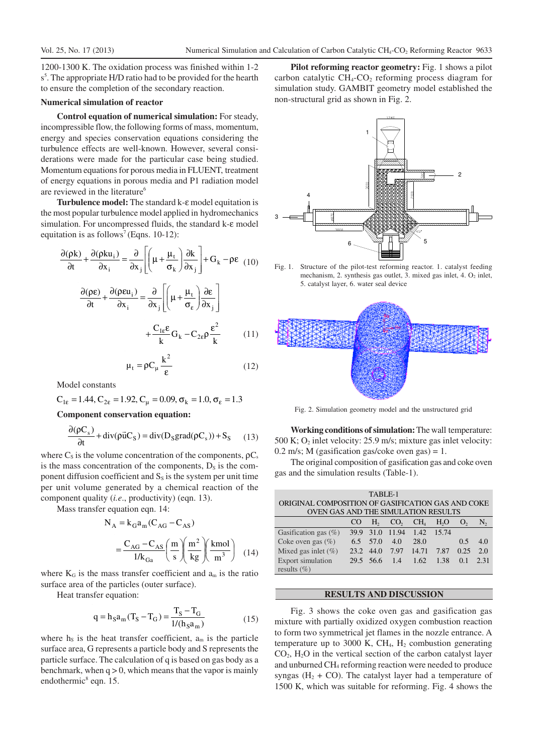1200-1300 K. The oxidation process was finished within 1-2 s<sup>5</sup>. The appropriate H/D ratio had to be provided for the hearth to ensure the completion of the secondary reaction.

### **Numerical simulation of reactor**

**Control equation of numerical simulation:** For steady, incompressible flow, the following forms of mass, momentum, energy and species conservation equations considering the turbulence effects are well-known. However, several considerations were made for the particular case being studied. Momentum equations for porous media in FLUENT, treatment of energy equations in porous media and P1 radiation model are reviewed in the literature 6

**Turbulence model:** The standard k-ε model equitation is the most popular turbulence model applied in hydromechanics simulation. For uncompressed fluids, the standard k-ε model equitation is as follows<sup>7</sup> (Eqns. 10-12):

$$
\frac{\partial(\rho k)}{\partial t} + \frac{\partial(\rho k u_i)}{\partial x_i} = \frac{\partial}{\partial x_j} \left[ \left( \mu + \frac{\mu_t}{\sigma_k} \right) \frac{\partial k}{\partial x_j} \right] + G_k - \rho \epsilon \quad (10)
$$

$$
\frac{\partial(\rho \epsilon)}{\partial t} + \frac{\partial(\rho \epsilon u_i)}{\partial x_i} = \frac{\partial}{\partial x_j} \left[ \left( \mu + \frac{\mu_t}{\sigma_\epsilon} \right) \frac{\partial \epsilon}{\partial x_j} \right]
$$

$$
+ \frac{C_{1\epsilon} \epsilon}{k} G_k - C_{2\epsilon} \rho \frac{\epsilon^2}{k} \qquad (11)
$$

$$
\mu_t = \rho C_\mu \frac{k^2}{\rho} \qquad (12)
$$

Model constants

$$
C_{1\varepsilon} = 1.44
$$
,  $C_{2\varepsilon} = 1.92$ ,  $C_{\mu} = 0.09$ ,  $\sigma_{k} = 1.0$ ,  $\sigma_{\varepsilon} = 1.3$ 

**Component conservation equation:**

$$
\frac{\partial(\rho C_s)}{\partial t} + \text{div}(\rho \vec{u} C_S) = \text{div}(D_S \text{grad}(\rho C_s)) + S_S \qquad (13)
$$

ε

where  $C_s$  is the volume concentration of the components,  $\rho C_s$ is the mass concentration of the components,  $D_s$  is the component diffusion coefficient and  $S<sub>s</sub>$  is the system per unit time per unit volume generated by a chemical reaction of the component quality (*i.e*., productivity) (eqn. 13).

Mass transfer equation eqn. 14:

$$
N_A = k_G a_m (C_{AG} - C_{AS})
$$
  
= 
$$
\frac{C_{AG} - C_{AS}}{1/k_{Ga}} \left( \frac{m}{s} \right) \left( \frac{m^2}{kg} \right) \left( \frac{kmol}{m^3} \right)
$$
 (14)

where  $K_G$  is the mass transfer coefficient and  $a_m$  is the ratio surface area of the particles (outer surface).

Heat transfer equation:

$$
q = h_S a_m (T_S - T_G) = \frac{T_S - T_G}{1/(h_S a_m)}
$$
(15)

where  $h<sub>S</sub>$  is the heat transfer coefficient,  $a<sub>m</sub>$  is the particle surface area, G represents a particle body and S represents the particle surface. The calculation of q is based on gas body as a benchmark, when  $q > 0$ , which means that the vapor is mainly endothermic<sup>8</sup> eqn. 15.

**Pilot reforming reactor geometry:** Fig. 1 shows a pilot carbon catalytic  $CH_4$ -CO<sub>2</sub> reforming process diagram for simulation study. GAMBIT geometry model established the non-structural grid as shown in Fig. 2.



Fig. 1. Structure of the pilot-test reforming reactor. 1. catalyst feeding mechanism, 2. synthesis gas outlet, 3. mixed gas inlet, 4.  $O<sub>2</sub>$  inlet, 5. catalyst layer, 6. water seal device



Fig. 2. Simulation geometry model and the unstructured grid

**Working conditions of simulation:** The wall temperature: 500 K;  $O_2$  inlet velocity: 25.9 m/s; mixture gas inlet velocity: 0.2 m/s; M (gasification gas/coke oven gas) = 1.

The original composition of gasification gas and coke oven gas and the simulation results (Table-1).

| TABLE-1                                           |       |                |                 |                 |                  |                |      |
|---------------------------------------------------|-------|----------------|-----------------|-----------------|------------------|----------------|------|
| ORIGINAL COMPOSITION OF GASIFICATION GAS AND COKE |       |                |                 |                 |                  |                |      |
| OVEN GAS AND THE SIMULATION RESULTS               |       |                |                 |                 |                  |                |      |
|                                                   | CO    | H <sub>2</sub> | CO <sub>2</sub> | CH <sub>4</sub> | H <sub>2</sub> O | $\mathbf{O}_2$ | N,   |
| Gasification gas $(\% )$                          | 39.9  | 31.0           | 11.94           | 1.42            | 15.74            |                |      |
| Coke oven gas $(\%)$                              | 6.5   | 57.0           | 4.0             | 28.0            |                  | 0.5            | 4.0  |
| Mixed gas inlet $(\% )$                           | 23.2. | 44.0           | 7.97            | 14.71           | 7.87             | 0.25           | 2.0  |
| Export simulation                                 | 29.5  | 56.6           | 1.4             | 1.62            | 1.38             | 0.1            | 2.31 |
| results $(\% )$                                   |       |                |                 |                 |                  |                |      |

## **RESULTS AND DISCUSSION**

Fig. 3 shows the coke oven gas and gasification gas mixture with partially oxidized oxygen combustion reaction to form two symmetrical jet flames in the nozzle entrance. A temperature up to 3000 K,  $CH<sub>4</sub>$ , H<sub>2</sub> combustion generating  $CO<sub>2</sub>$ , H<sub>2</sub>O in the vertical section of the carbon catalyst layer and unburned CH4 reforming reaction were needed to produce syngas  $(H_2 + CO)$ . The catalyst layer had a temperature of 1500 K, which was suitable for reforming. Fig. 4 shows the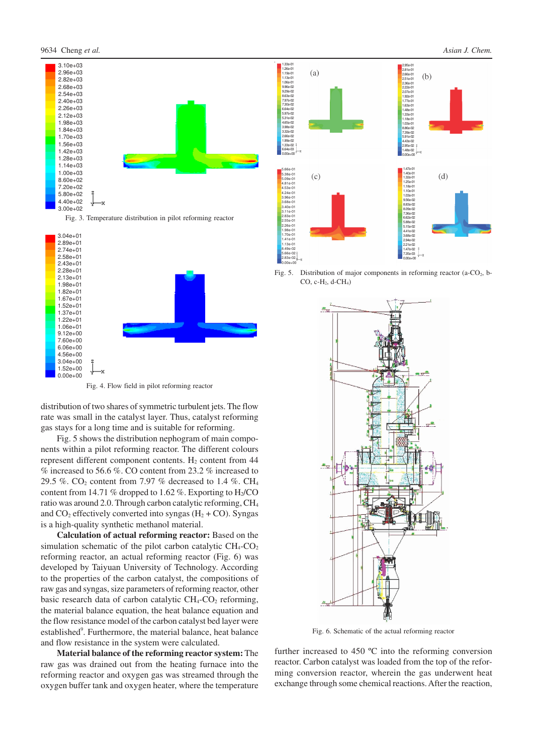

1.33e-01 1.26e-01 1.19e-01 1.13e-01 1.06e-01 9.96e-02 2.95e-01  $(a)$ 2.81e-01  $(b)$ 2.66e-01 2.51e-01 2.36e-01 2.22e-01 9.29e-02 2.07e-01 8.63e-02 1.92e-01 1.77e-01 7.97e-02 7.30e-02 1.63e-01 6.64e-02 5.97e-02 5.31e-02 4.65e-02 3.98e-02 1.48e-01 1.33e-01 18e-0 1.03e-01 8.86e-02 7.39e-02 3.32e-02 5.91e-02 2.66e-02 1.99e-02 1.33e-02 4.43e-02 2.95e-02 6.64e-03 1.48e-02 0.00e+00 0.00e+00 1.47e-01 5.66e-01 5.38e-01 5.09e-01 4.81e-01 4.53e-01 4.24e-01 3.96e-01 3.68e-01 1.40e-01  $(c)$  $(d)$ 1.32e-01 1.25e-01 1.18e-01 1.10e-01 1.03e-01 9.56e-02 8.83e-02 3.40e-01 3.11e-01 8.09e-02 7.36e-02 2.83e-01 6.62e-02 5.88e-02 2.55e-01 2.26e-01 1.98e-01 5.15e-02 4.41e-02 1.70e-01 3.68e-02 2.94e-02 2.21e-02 1.41e-01 1.13e-01 8.49e-02

Fig. 5. Distribution of major components in reforming reactor (a- $CO<sub>2</sub>$ , b-CO, c-H2, d-CH4)

5.66e-02 2.83e-02 0.00e+00 1.47e-02 7.35e-03 0.00e+00

Fig. 4. Flow field in pilot reforming reactor

distribution of two shares of symmetric turbulent jets. The flow rate was small in the catalyst layer. Thus, catalyst reforming gas stays for a long time and is suitable for reforming.

Fig. 5 shows the distribution nephogram of main components within a pilot reforming reactor. The different colours represent different component contents.  $H<sub>2</sub>$  content from 44 % increased to 56.6 %. CO content from 23.2 % increased to 29.5 %.  $CO<sub>2</sub>$  content from 7.97 % decreased to 1.4 %. CH<sub>4</sub> content from 14.71 % dropped to 1.62 %. Exporting to  $H<sub>2</sub>/CO$ ratio was around 2.0. Through carbon catalytic reforming, CH<sup>4</sup> and  $CO_2$  effectively converted into syngas ( $H_2 + CO$ ). Syngas is a high-quality synthetic methanol material.

**Calculation of actual reforming reactor:** Based on the simulation schematic of the pilot carbon catalytic  $CH_4$ - $CO_2$ reforming reactor, an actual reforming reactor (Fig. 6) was developed by Taiyuan University of Technology. According to the properties of the carbon catalyst, the compositions of raw gas and syngas, size parameters of reforming reactor, other basic research data of carbon catalytic  $CH_4$ - $CO_2$  reforming, the material balance equation, the heat balance equation and the flow resistance model of the carbon catalyst bed layer were established<sup>9</sup>. Furthermore, the material balance, heat balance and flow resistance in the system were calculated.

**Material balance of the reforming reactor system:** The raw gas was drained out from the heating furnace into the reforming reactor and oxygen gas was streamed through the oxygen buffer tank and oxygen heater, where the temperature



Fig. 6. Schematic of the actual reforming reactor

further increased to 450 ºC into the reforming conversion reactor. Carbon catalyst was loaded from the top of the reforming conversion reactor, wherein the gas underwent heat exchange through some chemical reactions. After the reaction,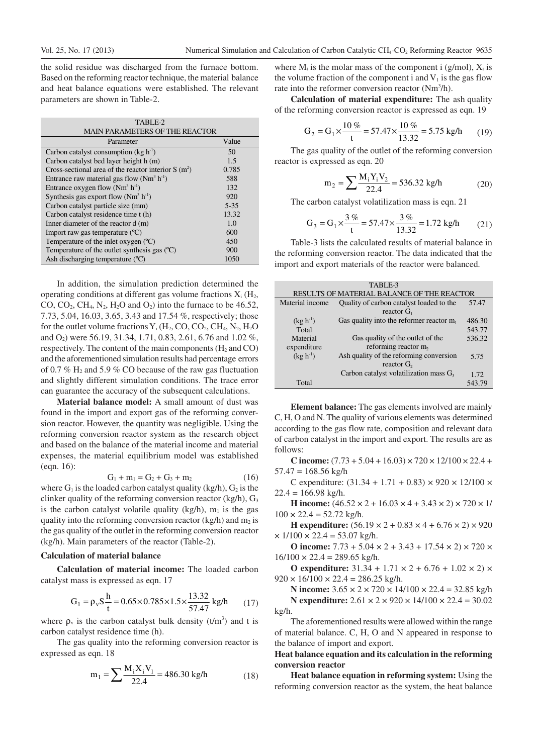the solid residue was discharged from the furnace bottom. Based on the reforming reactor technique, the material balance and heat balance equations were established. The relevant parameters are shown in Table-2.

| TABLE-2                                               |          |
|-------------------------------------------------------|----------|
| <b>MAIN PARAMETERS OF THE REACTOR</b>                 |          |
| Parameter                                             | Value    |
| Carbon catalyst consumption ( $kg \ h^{-1}$ )         | 50       |
| Carbon catalyst bed layer height h (m)                | 1.5      |
| Cross-sectional area of the reactor interior $S(m^2)$ | 0.785    |
| Entrance raw material gas flow $(Nm^3 h^{-1})$        | 588      |
| Entrance oxygen flow $(Nm^3 h^{-1})$                  | 132      |
| Synthesis gas export flow $(Nm^3 h^{-1})$             | 920      |
| Carbon catalyst particle size (mm)                    | $5 - 35$ |
| Carbon catalyst residence time t (h)                  | 13.32    |
| Inner diameter of the reactor d (m)                   | 1.0      |
| Import raw gas temperature $(^{\circ}C)$              | 600      |
| Temperature of the inlet oxygen $(C)$                 | 450      |
| Temperature of the outlet synthesis gas $(°C)$        | 900      |
| Ash discharging temperature (°C)                      | 1050     |

In addition, the simulation prediction determined the operating conditions at different gas volume fractions  $X_i$  ( $H_2$ , CO,  $CO<sub>2</sub>$ ,  $CH<sub>4</sub>$ ,  $N<sub>2</sub>$ ,  $H<sub>2</sub>O$  and  $O<sub>2</sub>$ ) into the furnace to be 46.52, 7.73, 5.04, 16.03, 3.65, 3.43 and 17.54 %, respectively; those for the outlet volume fractions  $Y_i$  (H<sub>2</sub>, CO, CO<sub>2</sub>, CH<sub>4</sub>, N<sub>2</sub>, H<sub>2</sub>O) and O2) were 56.19, 31.34, 1.71, 0.83, 2.61, 6.76 and 1.02 %, respectively. The content of the main components  $(H_2 \text{ and } CO)$ and the aforementioned simulation results had percentage errors of 0.7 %  $H_2$  and 5.9 % CO because of the raw gas fluctuation and slightly different simulation conditions. The trace error can guarantee the accuracy of the subsequent calculations.

**Material balance model:** A small amount of dust was found in the import and export gas of the reforming conversion reactor. However, the quantity was negligible. Using the reforming conversion reactor system as the research object and based on the balance of the material income and material expenses, the material equilibrium model was established (eqn. 16):

$$
G_1 + m_1 = G_2 + G_3 + m_2 \tag{16}
$$

where  $G_1$  is the loaded carbon catalyst quality (kg/h),  $G_2$  is the clinker quality of the reforming conversion reactor (kg/h),  $G_3$ is the carbon catalyst volatile quality (kg/h),  $m_1$  is the gas quality into the reforming conversion reactor (kg/h) and  $m_2$  is the gas quality of the outlet in the reforming conversion reactor (kg/h). Main parameters of the reactor (Table-2).

### **Calculation of material balance**

**Calculation of material income:** The loaded carbon catalyst mass is expressed as eqn. 17

$$
G_1 = \rho_v S \frac{h}{t} = 0.65 \times 0.785 \times 1.5 \times \frac{13.32}{57.47} kg/h
$$
 (17)

where  $\rho$ <sub>v</sub> is the carbon catalyst bulk density (t/m<sup>3</sup>) and t is carbon catalyst residence time (h).

The gas quality into the reforming conversion reactor is expressed as eqn. 18

$$
m_1 = \sum \frac{M_i X_i V_1}{22.4} = 486.30 \text{ kg/h}
$$
 (18)

where  $M_i$  is the molar mass of the component i (g/mol),  $X_i$  is the volume fraction of the component i and  $V_1$  is the gas flow rate into the reformer conversion reactor (Nm<sup>3</sup>/h).

**Calculation of material expenditure:** The ash quality of the reforming conversion reactor is expressed as eqn. 19

$$
G_2 = G_1 \times \frac{10\%}{t} = 57.47 \times \frac{10\%}{13.32} = 5.75 \text{ kg/h}
$$
 (19)

The gas quality of the outlet of the reforming conversion reactor is expressed as eqn. 20

$$
m_2 = \sum \frac{M_i Y_i V_2}{22.4} = 536.32 \text{ kg/h}
$$
 (20)

The carbon catalyst volatilization mass is eqn. 21

$$
G_3 = G_1 \times \frac{3\%}{t} = 57.47 \times \frac{3\%}{13.32} = 1.72 \text{ kg/h}
$$
 (21)

Table-3 lists the calculated results of material balance in the reforming conversion reactor. The data indicated that the import and export materials of the reactor were balanced.

|                                            | TABLE-3                                                  |        |  |  |
|--------------------------------------------|----------------------------------------------------------|--------|--|--|
| RESULTS OF MATERIAL BALANCE OF THE REACTOR |                                                          |        |  |  |
| Material income                            | Quality of carbon catalyst loaded to the                 | 57.47  |  |  |
|                                            | reactor $G1$                                             |        |  |  |
| $(kg h^{-1})$                              | Gas quality into the reformer reactor $m_1$              | 486.30 |  |  |
| Total                                      |                                                          | 543.77 |  |  |
| Material                                   | Gas quality of the outlet of the                         | 536.32 |  |  |
| expenditure                                | reforming reactor m,                                     |        |  |  |
| $(kg h^{-1})$                              | Ash quality of the reforming conversion<br>reactor $G_2$ | 5.75   |  |  |
|                                            | Carbon catalyst volatilization mass $G_3$                |        |  |  |
|                                            |                                                          | 1.72   |  |  |
| Total                                      |                                                          | 543.79 |  |  |

**Element balance:** The gas elements involved are mainly C, H, O and N. The quality of various elements was determined according to the gas flow rate, composition and relevant data of carbon catalyst in the import and export. The results are as follows:

**C** income:  $(7.73 + 5.04 + 16.03) \times 720 \times 12/100 \times 22.4 +$  $57.47 = 168.56$  kg/h

C expenditure:  $(31.34 + 1.71 + 0.83) \times 920 \times 12/100 \times$  $22.4 = 166.98$  kg/h.

**H** income:  $(46.52 \times 2 + 16.03 \times 4 + 3.43 \times 2) \times 720 \times 1/$  $100 \times 22.4 = 52.72$  kg/h.

**H** expenditure:  $(56.19 \times 2 + 0.83 \times 4 + 6.76 \times 2) \times 920$  $\times$  1/100  $\times$  22.4 = 53.07 kg/h.

**O** income:  $7.73 + 5.04 \times 2 + 3.43 + 17.54 \times 2 \times 720 \times$  $16/100 \times 22.4 = 289.65$  kg/h.

**O** expenditure:  $31.34 + 1.71 \times 2 + 6.76 + 1.02 \times 2 \times$  $920 \times 16/100 \times 22.4 = 286.25$  kg/h.

**N** income:  $3.65 \times 2 \times 720 \times 14/100 \times 22.4 = 32.85$  kg/h **N expenditure:** 2.61 × 2 × 920 × 14/100 × 22.4 = 30.02 kg/h.

The aforementioned results were allowed within the range of material balance. C, H, O and N appeared in response to the balance of import and export.

## **Heat balance equation and its calculation in the reforming conversion reactor**

**Heat balance equation in reforming system:** Using the reforming conversion reactor as the system, the heat balance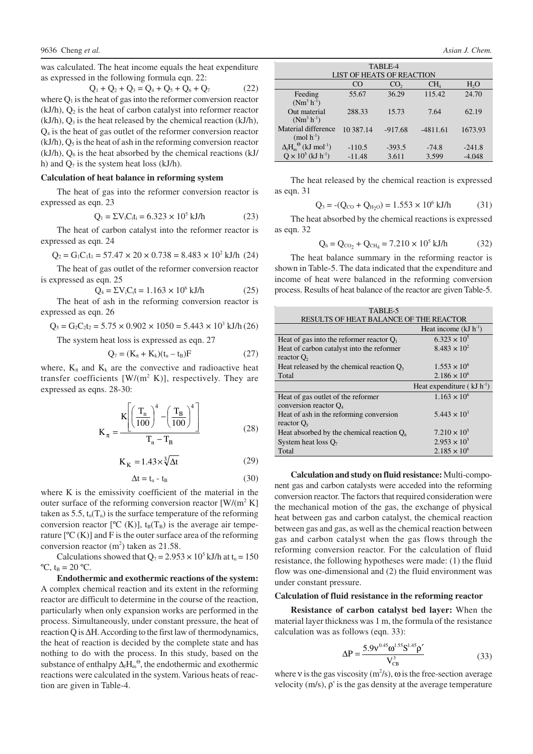was calculated. The heat income equals the heat expenditure as expressed in the following formula eqn. 22:

 $Q_1 + Q_2 + Q_3 = Q_4 + Q_5 + Q_6 + Q_7$  (22) where  $Q_1$  is the heat of gas into the reformer conversion reactor  $(kJ/h)$ ,  $Q_2$  is the heat of carbon catalyst into reformer reactor  $(kJ/h)$ ,  $Q_3$  is the heat released by the chemical reaction  $(kJ/h)$ , Q4 is the heat of gas outlet of the reformer conversion reactor  $(kJ/h)$ ,  $Q_5$  is the heat of ash in the reforming conversion reactor  $(kJ/h)$ ,  $O<sub>6</sub>$  is the heat absorbed by the chemical reactions  $(kJ/h)$ h) and  $Q_7$  is the system heat loss (kJ/h).

## **Calculation of heat balance in reforming system**

The heat of gas into the reformer conversion reactor is expressed as eqn. 23

$$
Q_1 = \Sigma V_i C_i t_i = 6.323 \times 10^5 \text{ kJ/h}
$$
 (23)

The heat of carbon catalyst into the reformer reactor is expressed as eqn. 24

$$
Q_2 = G_1 C_1 t_1 = 57.47 \times 20 \times 0.738 = 8.483 \times 10^2 \text{ kJ/h} \ (24)
$$

The heat of gas outlet of the reformer conversion reactor is expressed as eqn. 25

$$
Q_4 = \Sigma V_i C_i t = 1.163 \times 10^6 \text{ kJ/h}
$$
 (25)

The heat of ash in the reforming conversion reactor is expressed as eqn. 26

 $Q_5 = G_2 C_2 t_2 = 5.75 \times 0.902 \times 1050 = 5.443 \times 10^3$  kJ/h (26)

The system heat loss is expressed as eqn. 27

$$
Q_7 = (K_{\pi} + K_k)(t_n - t_B)F
$$
 (27)

where,  $K_{\pi}$  and  $K_{k}$  are the convective and radioactive heat transfer coefficients  $[W/(m^2 K)]$ , respectively. They are expressed as eqns. 28-30:

$$
K_{\pi} = \frac{K \left[ \left( \frac{T_{n}}{100} \right)^{4} - \left( \frac{T_{B}}{100} \right)^{4} \right]}{T_{n} - T_{B}}
$$
(28)

$$
K_K = 1.43 \times \sqrt[3]{\Delta t} \tag{29}
$$

$$
\Delta t = t_n - t_B \tag{30}
$$

where K is the emissivity coefficient of the material in the outer surface of the reforming conversion reactor  $[W/(m^2 K)]$ taken as 5.5,  $t_n(T_n)$  is the surface temperature of the reforming conversion reactor  $[{}^{\circ}C(K)]$ ,  $t_B(T_B)$  is the average air temperature  $[°C(K)]$  and F is the outer surface area of the reforming conversion reactor  $(m^2)$  taken as 21.58.

Calculations showed that  $Q_7 = 2.953 \times 10^5$  kJ/h at t<sub>n</sub> = 150  $^{\circ}C$ ,  $t_{B} = 20 \ ^{\circ}C$ .

**Endothermic and exothermic reactions of the system:** A complex chemical reaction and its extent in the reforming reactor are difficult to determine in the course of the reaction, particularly when only expansion works are performed in the process. Simultaneously, under constant pressure, the heat of reaction Q is ∆H. According to the first law of thermodynamics, the heat of reaction is decided by the complete state and has nothing to do with the process. In this study, based on the substance of enthalpy  $\Delta_f H_m^{\Theta}$ , the endothermic and exothermic reactions were calculated in the system. Various heats of reaction are given in Table-4.

| TABLE-4                                         |           |                 |                 |                  |  |  |
|-------------------------------------------------|-----------|-----------------|-----------------|------------------|--|--|
| <b>LIST OF HEATS OF REACTION</b>                |           |                 |                 |                  |  |  |
|                                                 | CO        | CO <sub>2</sub> | CH <sub>4</sub> | H <sub>2</sub> O |  |  |
| Feeding                                         | 55.67     | 36.29           | 115.42          | 24.70            |  |  |
| $(Nm^3 h^{-1})$                                 |           |                 |                 |                  |  |  |
| Out material                                    | 288.33    | 15.73           | 7.64            | 62.19            |  |  |
| $(Nm^3 h^{-1})$                                 |           |                 |                 |                  |  |  |
| Material difference                             | 10 387.14 | $-917.68$       | $-4811.61$      | 1673.93          |  |  |
| $(mod h-1)$                                     |           |                 |                 |                  |  |  |
| $\Delta_f H_m^{\Theta}$ (kJ mol <sup>-1</sup> ) | $-110.5$  | $-393.5$        | $-74.8$         | $-241.8$         |  |  |
| $Q \times 10^5$ (kJ h <sup>-1</sup> )           | $-11.48$  | 3.611           | 3.599           | $-4.048$         |  |  |

The heat released by the chemical reaction is expressed as eqn. 31

$$
Q_3 = -(Q_{CO} + Q_{H_2O}) = 1.553 \times 10^6 \text{ kJ/h}
$$
 (31)

The heat absorbed by the chemical reactions is expressed as eqn. 32

$$
Q_6 = Q_{CO_2} + Q_{CH_4} = 7.210 \times 10^5 \text{ kJ/h}
$$
 (32)

The heat balance summary in the reforming reactor is shown in Table-5. The data indicated that the expenditure and income of heat were balanced in the reforming conversion process. Results of heat balance of the reactor are given Table-5.

| TABLE-5                                       |                                |  |  |  |  |
|-----------------------------------------------|--------------------------------|--|--|--|--|
| <b>RESULTS OF HEAT BALANCE OF THE REACTOR</b> |                                |  |  |  |  |
|                                               | Heat income $(kJ h-1)$         |  |  |  |  |
| Heat of gas into the reformer reactor $Q_1$   | $6.323 \times 10^{5}$          |  |  |  |  |
| Heat of carbon catalyst into the reformer     | $8.483 \times 10^{2}$          |  |  |  |  |
| reactor $O2$                                  |                                |  |  |  |  |
| Heat released by the chemical reaction $Q_3$  | $1.553 \times 10^{6}$          |  |  |  |  |
| Total                                         | $2.186 \times 10^{6}$          |  |  |  |  |
|                                               |                                |  |  |  |  |
|                                               | Heat expenditure $(kJ h^{-1})$ |  |  |  |  |
| Heat of gas outlet of the reformer            | $1.163 \times 10^{6}$          |  |  |  |  |
| conversion reactor $Q_4$                      |                                |  |  |  |  |
| Heat of ash in the reforming conversion       | $5.443 \times 10^{3}$          |  |  |  |  |
| reactor $Q_5$                                 |                                |  |  |  |  |
| Heat absorbed by the chemical reaction $Q_6$  | $7.210 \times 10^{5}$          |  |  |  |  |
| System heat loss $O7$                         | $2.953 \times 10^{5}$          |  |  |  |  |

**Calculation and study on fluid resistance:** Multi-component gas and carbon catalysts were acceded into the reforming conversion reactor. The factors that required consideration were the mechanical motion of the gas, the exchange of physical heat between gas and carbon catalyst, the chemical reaction between gas and gas, as well as the chemical reaction between gas and carbon catalyst when the gas flows through the reforming conversion reactor. For the calculation of fluid resistance, the following hypotheses were made: (1) the fluid flow was one-dimensional and (2) the fluid environment was under constant pressure.

#### **Calculation of fluid resistance in the reforming reactor**

**Resistance of carbon catalyst bed layer:** When the material layer thickness was 1 m, the formula of the resistance calculation was as follows (eqn. 33):

$$
\Delta P = \frac{5.9v^{0.45}\omega^{1.55}S^{1.45}\rho'}{V_{CB}^3}
$$
 (33)

where v is the gas viscosity  $(m^2/s)$ ,  $\omega$  is the free-section average velocity (m/s), ρ' is the gas density at the average temperature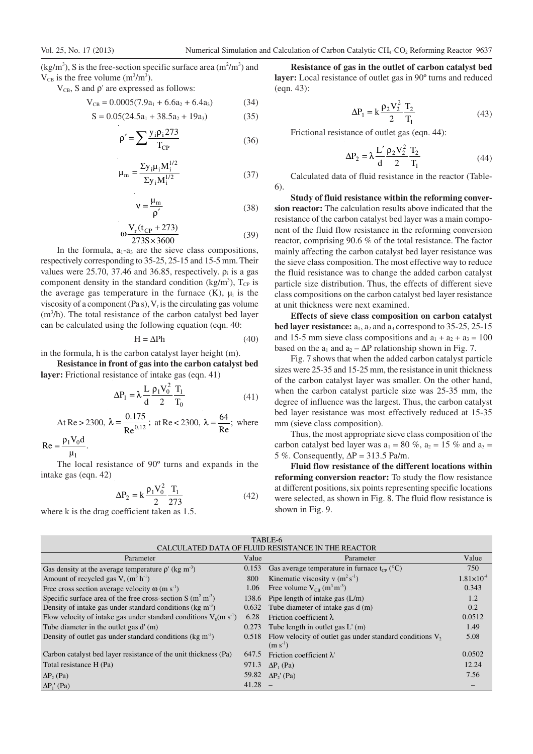$(kg/m<sup>3</sup>)$ , S is the free-section specific surface area  $(m<sup>2</sup>/m<sup>3</sup>)$  and  $V_{CB}$  is the free volume (m<sup>3</sup>/m<sup>3</sup>).

 $V_{CB}$ , S and  $\rho'$  are expressed as follows:

$$
V_{CB} = 0.0005(7.9a_1 + 6.6a_2 + 6.4a_3)
$$
 (34)

$$
S = 0.05(24.5a_1 + 38.5a_2 + 19a_3)
$$
 (35)

$$
\rho' = \sum \frac{y_i \rho_i 273}{T_{CP}} \tag{36}
$$

$$
\mu_{\rm m} = \frac{\Sigma y_{\rm i} \mu_{\rm i} M_{\rm i}^{1/2}}{\Sigma y_{\rm i} M_{\rm i}^{1/2}} \tag{37}
$$

$$
v = \frac{\mu_{\rm m}}{\rho'}\tag{38}
$$

$$
\omega \frac{V_r(t_{CP} + 273)}{273S \times 3600} \tag{39}
$$

In the formula,  $a_1-a_3$  are the sieve class compositions, respectively corresponding to 35-25, 25-15 and 15-5 mm. Their values were 25.70, 37.46 and 36.85, respectively.  $\rho_i$  is a gas component density in the standard condition (kg/m<sup>3</sup>),  $T_{CP}$  is the average gas temperature in the furnace  $(K)$ ,  $\mu_i$  is the viscosity of a component (Pa s),  $V<sub>r</sub>$  is the circulating gas volume  $(m<sup>3</sup>/h)$ . The total resistance of the carbon catalyst bed layer can be calculated using the following equation (eqn. 40:

$$
H = \Delta Ph \tag{40}
$$

in the formula, h is the carbon catalyst layer height (m).

**Resistance in front of gas into the carbon catalyst bed layer:** Frictional resistance of intake gas (eqn. 41)

$$
\Delta P_1 = \lambda \frac{L}{d} \frac{\rho_1 V_0^2}{2} \frac{T_1}{T_0}
$$
\n(41)

At Re > 2300, 
$$
\lambda = \frac{0.175}{Re^{0.12}}
$$
; at Re < 2300,  $\lambda = \frac{64}{Re}$ ; where

 $\frac{10}{\mu_1}$ .  $Re = \frac{\rho_1 V_0 d}{\rho_0}$  $=\frac{\rho_1 V_0}{\rho_0}$ 

1 The local resistance of 90º turns and expands in the intake gas (eqn. 42)

$$
\Delta P_2 = k \frac{\rho_1 V_0^2}{2} \frac{T_1}{273}
$$
 (42)

where k is the drag coefficient taken as 1.5.

**Resistance of gas in the outlet of carbon catalyst bed layer:** Local resistance of outlet gas in 90º turns and reduced (eqn. 43):

$$
\Delta P_1 = k \frac{\rho_2 V_2^2}{2} \frac{T_2}{T_1}
$$
 (43)

Frictional resistance of outlet gas (eqn. 44):

$$
\Delta P_2 = \lambda \frac{L'}{d} \frac{\rho_2 V_2^2}{2} \frac{T_2}{T_1}
$$
 (44)

Calculated data of fluid resistance in the reactor (Table-6).

**Study of fluid resistance within the reforming conversion reactor:** The calculation results above indicated that the resistance of the carbon catalyst bed layer was a main component of the fluid flow resistance in the reforming conversion reactor, comprising 90.6 % of the total resistance. The factor mainly affecting the carbon catalyst bed layer resistance was the sieve class composition. The most effective way to reduce the fluid resistance was to change the added carbon catalyst particle size distribution. Thus, the effects of different sieve class compositions on the carbon catalyst bed layer resistance at unit thickness were next examined.

**Effects of sieve class composition on carbon catalyst bed layer resistance:**  $a_1$ ,  $a_2$  and  $a_3$  correspond to 35-25, 25-15 and 15-5 mm sieve class compositions and  $a_1 + a_2 + a_3 = 100$ based on the  $a_1$  and  $a_2 - \Delta P$  relationship shown in Fig. 7.

Fig. 7 shows that when the added carbon catalyst particle sizes were 25-35 and 15-25 mm, the resistance in unit thickness of the carbon catalyst layer was smaller. On the other hand, when the carbon catalyst particle size was 25-35 mm, the degree of influence was the largest. Thus, the carbon catalyst bed layer resistance was most effectively reduced at 15-35 mm (sieve class composition).

Thus, the most appropriate sieve class composition of the carbon catalyst bed layer was  $a_1 = 80\%$ ,  $a_2 = 15\%$  and  $a_3 =$ 5 %. Consequently,  $\Delta P = 313.5$  Pa/m.

**Fluid flow resistance of the different locations within reforming conversion reactor:** To study the flow resistance at different positions, six points representing specific locations were selected, as shown in Fig. 8. The fluid flow resistance is shown in Fig. 9.

| TABLE-6                                                                 |       |                                                                            |                     |  |  |
|-------------------------------------------------------------------------|-------|----------------------------------------------------------------------------|---------------------|--|--|
| CALCULATED DATA OF FLUID RESISTANCE IN THE REACTOR                      |       |                                                                            |                     |  |  |
| Parameter                                                               | Value | Parameter                                                                  | Value               |  |  |
| Gas density at the average temperature $\rho'$ (kg m <sup>-3</sup> )    | 0.153 | Gas average temperature in furnace $t_{CP}$ (°C)                           | 750                 |  |  |
| Amount of recycled gas $V_r$ (m <sup>3</sup> h <sup>-1</sup> )          | 800   | Kinematic viscosity v $(m^2 s^{-1})$                                       | $1.81\times10^{-4}$ |  |  |
| Free cross section average velocity $\omega$ (m s <sup>-1</sup> )       | 1.06  | Free volume $V_{CB}$ (m <sup>3</sup> m <sup>-3</sup> )                     | 0.343               |  |  |
| Specific surface area of the free cross-section S $(m2 m-3)$            | 138.6 | Pipe length of intake gas $(L/m)$                                          | 1.2                 |  |  |
| Density of intake gas under standard conditions ( $kg \text{ m}^{-3}$ ) | 0.632 | Tube diameter of intake gas d (m)                                          | 0.2                 |  |  |
| Flow velocity of intake gas under standard conditions $V_0(m s^{-1})$   | 6.28  | Friction coefficient $\lambda$                                             | 0.0512              |  |  |
| Tube diameter in the outlet gas d' (m)                                  | 0.273 | Tube length in outlet gas $L'(m)$                                          | 1.49                |  |  |
| Density of outlet gas under standard conditions (kg $m3$ )              | 0.518 | Flow velocity of outlet gas under standard conditions $V_2$ .<br>$(m s-1)$ | 5.08                |  |  |
| Carbon catalyst bed layer resistance of the unit thickness (Pa)         | 647.5 | Friction coefficient $\lambda$                                             | 0.0502              |  |  |
| Total resistance H (Pa)                                                 | 971.3 | $\Delta P_1$ (Pa)                                                          | 12.24               |  |  |
| $\Delta P$ <sub>2</sub> (Pa)                                            | 59.82 | $\Delta P_2$ ' (Pa)                                                        | 7.56                |  |  |
| $\Delta P_1$ ' (Pa)                                                     | 41.28 |                                                                            |                     |  |  |